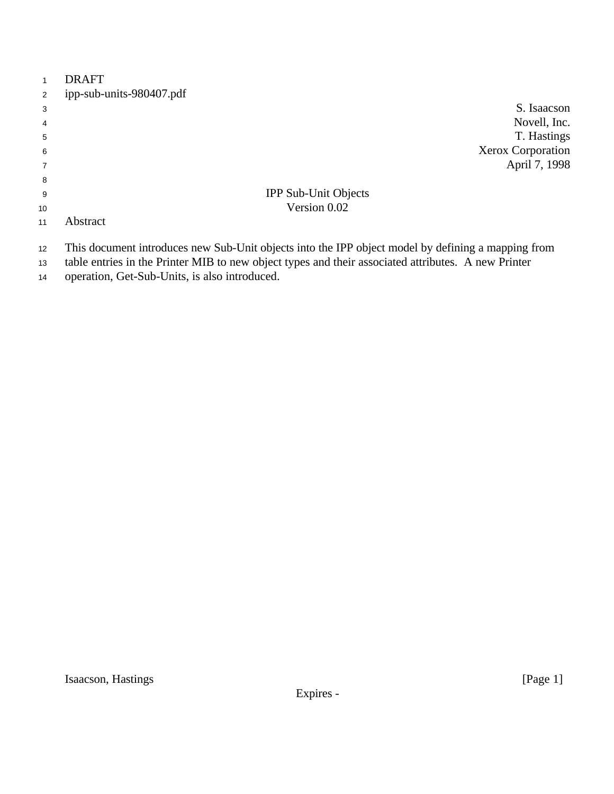| $\mathbf{1}$   | <b>DRAFT</b>             |                      |                   |
|----------------|--------------------------|----------------------|-------------------|
| 2              | ipp-sub-units-980407.pdf |                      |                   |
| 3              |                          |                      | S. Isaacson       |
| $\overline{4}$ |                          |                      | Novell, Inc.      |
| 5              |                          |                      | T. Hastings       |
| 6              |                          |                      | Xerox Corporation |
| $\overline{7}$ |                          |                      | April 7, 1998     |
| 8              |                          |                      |                   |
| 9              |                          | IPP Sub-Unit Objects |                   |
| 10             |                          | Version 0.02         |                   |
| 11             | Abstract                 |                      |                   |

- This document introduces new Sub-Unit objects into the IPP object model by defining a mapping from
- table entries in the Printer MIB to new object types and their associated attributes. A new Printer
- operation, Get-Sub-Units, is also introduced.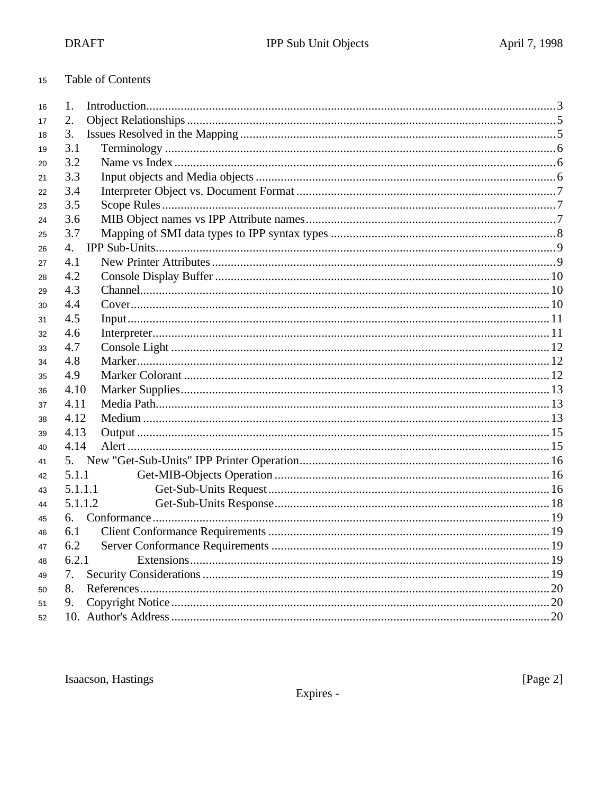| <b>Table of Contents</b> |
|--------------------------|
|                          |

| 16 | 1.      |  |
|----|---------|--|
| 17 | 2.      |  |
| 18 | 3.      |  |
| 19 | 3.1     |  |
| 20 | 3.2     |  |
| 21 | 3.3     |  |
| 22 | 3.4     |  |
| 23 | 3.5     |  |
| 24 | 3.6     |  |
| 25 | 3.7     |  |
| 26 | 4.      |  |
| 27 | 4.1     |  |
| 28 | 4.2     |  |
| 29 | 4.3     |  |
| 30 | 4.4     |  |
| 31 | 4.5     |  |
| 32 | 4.6     |  |
| 33 | 4.7     |  |
| 34 | 4.8     |  |
| 35 | 4.9     |  |
| 36 | 4.10    |  |
| 37 | 4.11    |  |
| 38 | 4.12    |  |
| 39 | 4.13    |  |
| 40 | 4.14    |  |
| 41 | 5.      |  |
| 42 | 5.1.1   |  |
| 43 | 5.1.1.1 |  |
| 44 | 5.1.1.2 |  |
| 45 | 6.      |  |
| 46 | 6.1     |  |
| 47 | 6.2     |  |
| 48 | 6.2.1   |  |
| 49 | 7.      |  |
| 50 | 8.      |  |
| 51 | 9.      |  |
| 52 |         |  |

Isaacson, Hastings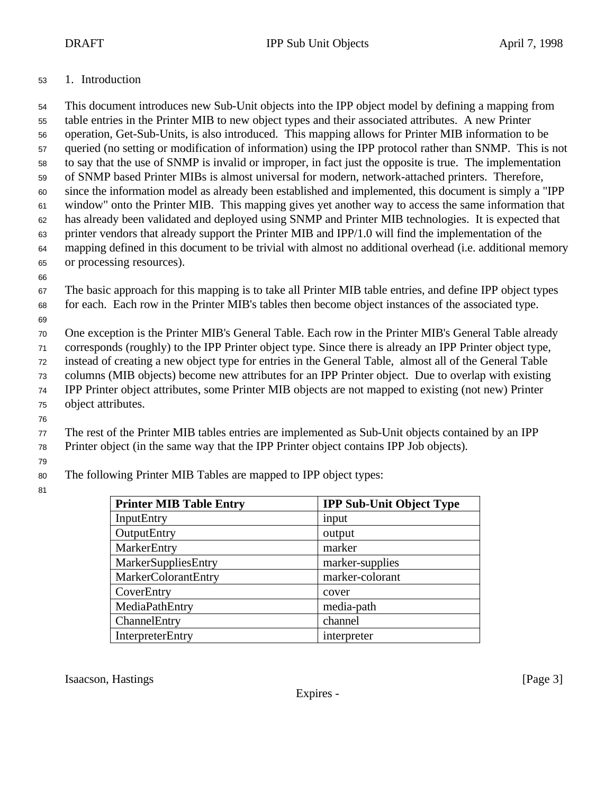#### 1. Introduction

 This document introduces new Sub-Unit objects into the IPP object model by defining a mapping from table entries in the Printer MIB to new object types and their associated attributes. A new Printer operation, Get-Sub-Units, is also introduced. This mapping allows for Printer MIB information to be queried (no setting or modification of information) using the IPP protocol rather than SNMP. This is not to say that the use of SNMP is invalid or improper, in fact just the opposite is true. The implementation of SNMP based Printer MIBs is almost universal for modern, network-attached printers. Therefore, since the information model as already been established and implemented, this document is simply a "IPP window" onto the Printer MIB. This mapping gives yet another way to access the same information that has already been validated and deployed using SNMP and Printer MIB technologies. It is expected that printer vendors that already support the Printer MIB and IPP/1.0 will find the implementation of the mapping defined in this document to be trivial with almost no additional overhead (i.e. additional memory or processing resources). The basic approach for this mapping is to take all Printer MIB table entries, and define IPP object types

for each. Each row in the Printer MIB's tables then become object instances of the associated type.

One exception is the Printer MIB's General Table. Each row in the Printer MIB's General Table already

corresponds (roughly) to the IPP Printer object type. Since there is already an IPP Printer object type,

instead of creating a new object type for entries in the General Table, almost all of the General Table

columns (MIB objects) become new attributes for an IPP Printer object. Due to overlap with existing

IPP Printer object attributes, some Printer MIB objects are not mapped to existing (not new) Printer

- object attributes.
- 

The rest of the Printer MIB tables entries are implemented as Sub-Unit objects contained by an IPP

Printer object (in the same way that the IPP Printer object contains IPP Job objects).

The following Printer MIB Tables are mapped to IPP object types:

| <b>Printer MIB Table Entry</b> | <b>IPP Sub-Unit Object Type</b> |
|--------------------------------|---------------------------------|
| InputEntry                     | input                           |
| <b>OutputEntry</b>             | output                          |
| MarkerEntry                    | marker                          |
| MarkerSuppliesEntry            | marker-supplies                 |
| MarkerColorantEntry            | marker-colorant                 |
| CoverEntry                     | cover                           |
| MediaPathEntry                 | media-path                      |
| ChannelEntry                   | channel                         |
| <b>InterpreterEntry</b>        | interpreter                     |

Isaacson, Hastings [Page 3]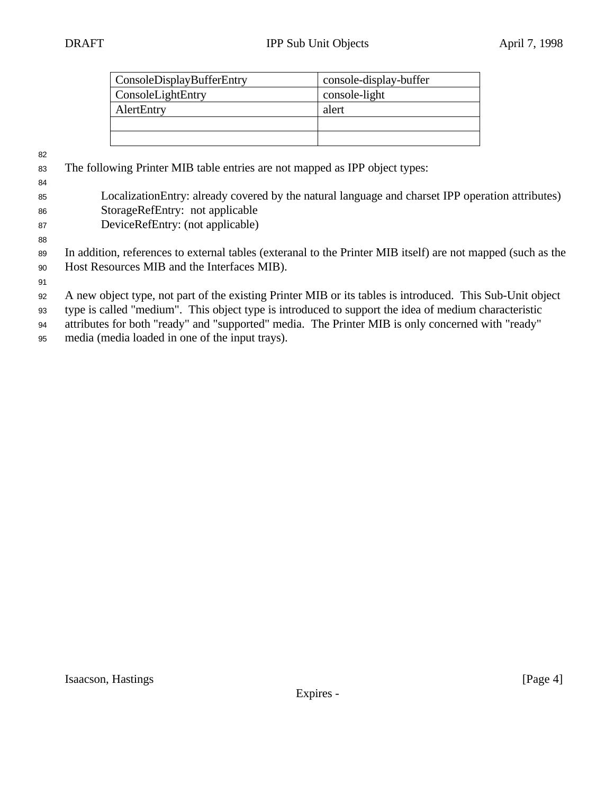| ConsoleDisplayBufferEntry | console-display-buffer |
|---------------------------|------------------------|
| ConsoleLightEntry         | console-light          |
| AlertEntry                | alert                  |
|                           |                        |
|                           |                        |

- The following Printer MIB table entries are not mapped as IPP object types:
- LocalizationEntry: already covered by the natural language and charset IPP operation attributes) StorageRefEntry: not applicable
- DeviceRefEntry: (not applicable)
- 
- In addition, references to external tables (exteranal to the Printer MIB itself) are not mapped (such as the Host Resources MIB and the Interfaces MIB).
- 

A new object type, not part of the existing Printer MIB or its tables is introduced. This Sub-Unit object

type is called "medium". This object type is introduced to support the idea of medium characteristic

attributes for both "ready" and "supported" media. The Printer MIB is only concerned with "ready"

media (media loaded in one of the input trays).

Isaacson, Hastings [Page 4]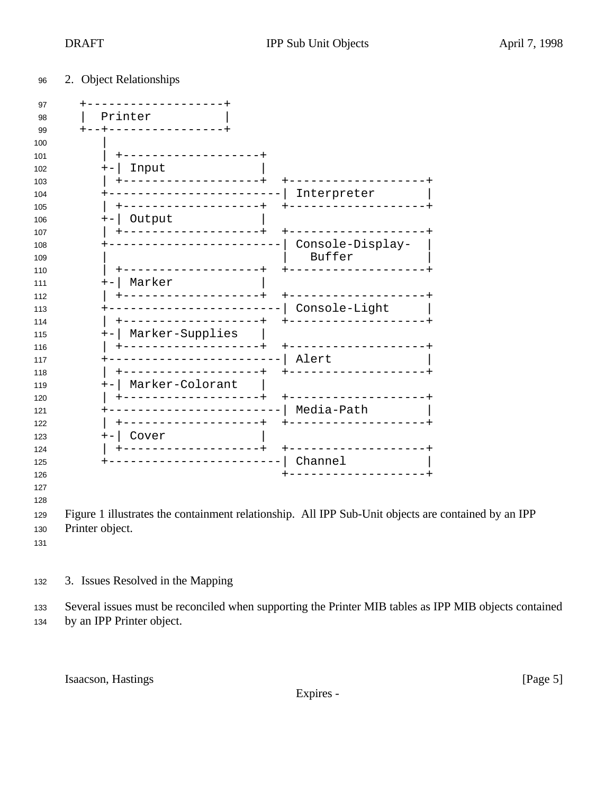## 2. Object Relationships

| -------------+<br>Input<br>$+-$                            |                                                    |  |
|------------------------------------------------------------|----------------------------------------------------|--|
| +------------------+                                       | +------------------+                               |  |
| ------------------<br>+                                    | Interpreter                                        |  |
| ------------------+<br>Output<br>$+-$                      |                                                    |  |
| -----------------+                                         | +------------------+<br>Console-Display-<br>Buffer |  |
| ---------------+<br>  Marker<br>$+-$                       | -----------------                                  |  |
| -------------------+                                       | $+ - - - - -$                                      |  |
| -----------------------  Console-Light<br>┿                | ------------------+                                |  |
| Marker-Supplies<br>$+-$                                    |                                                    |  |
| -----------------+                                         | +------------------+                               |  |
| _____________________<br>-------------------+              | Alert                                              |  |
| +-   Marker-Colorant                                       | +----------------                                  |  |
| ------------------+<br>-----------------------  Media-Path | +------------------+                               |  |
| -----------------+                                         | +-----------------                                 |  |
| Cover<br>$+ \vert$<br>+------------------+                 | +------------------+                               |  |
| ------------------------                                   | Channel                                            |  |
|                                                            | ------------------+                                |  |

3. Issues Resolved in the Mapping

 Several issues must be reconciled when supporting the Printer MIB tables as IPP MIB objects contained by an IPP Printer object.

Isaacson, Hastings [Page 5]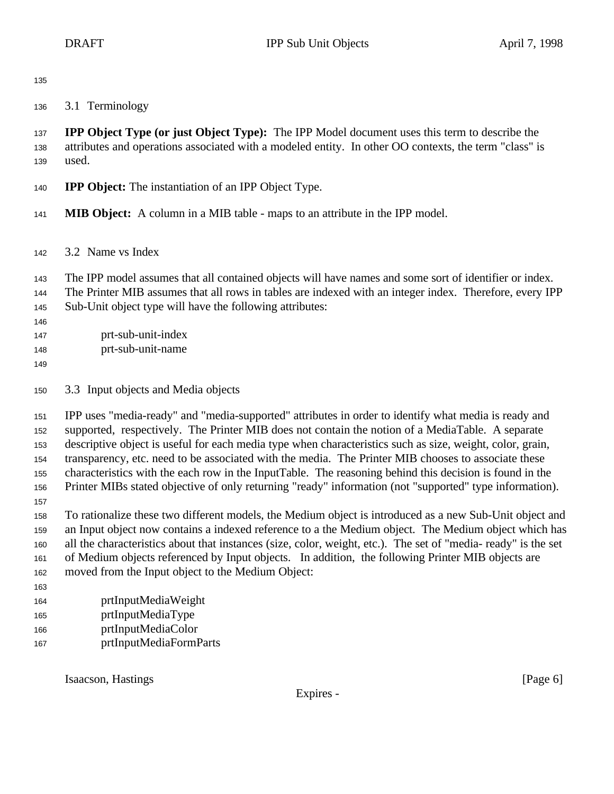3.1 Terminology

 **IPP Object Type (or just Object Type):** The IPP Model document uses this term to describe the attributes and operations associated with a modeled entity. In other OO contexts, the term "class" is used.

- **IPP Object:** The instantiation of an IPP Object Type.
- **MIB Object:** A column in a MIB table maps to an attribute in the IPP model.
- 3.2 Name vs Index
- The IPP model assumes that all contained objects will have names and some sort of identifier or index.
- The Printer MIB assumes that all rows in tables are indexed with an integer index. Therefore, every IPP Sub-Unit object type will have the following attributes:

 prt-sub-unit-index

- prt-sub-unit-name
- 
- 3.3 Input objects and Media objects

 IPP uses "media-ready" and "media-supported" attributes in order to identify what media is ready and supported, respectively. The Printer MIB does not contain the notion of a MediaTable. A separate descriptive object is useful for each media type when characteristics such as size, weight, color, grain, transparency, etc. need to be associated with the media. The Printer MIB chooses to associate these characteristics with the each row in the InputTable. The reasoning behind this decision is found in the Printer MIBs stated objective of only returning "ready" information (not "supported" type information).

- To rationalize these two different models, the Medium object is introduced as a new Sub-Unit object and an Input object now contains a indexed reference to a the Medium object. The Medium object which has all the characteristics about that instances (size, color, weight, etc.). The set of "media- ready" is the set of Medium objects referenced by Input objects. In addition, the following Printer MIB objects are moved from the Input object to the Medium Object:
- 
- prtInputMediaWeight
- prtInputMediaType
- prtInputMediaColor
- prtInputMediaFormParts

Isaacson, Hastings [Page 6]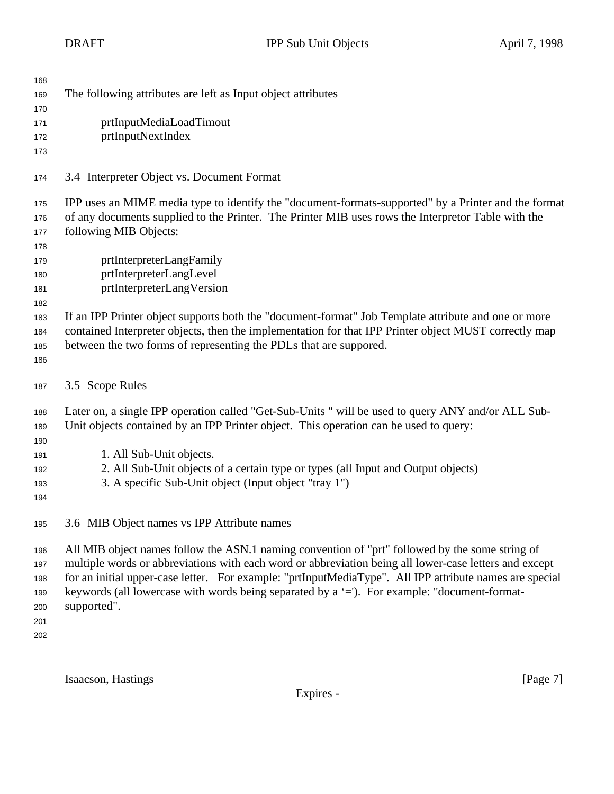| 168<br>169<br>170<br>171<br>172<br>173               | The following attributes are left as Input object attributes<br>prtInputMediaLoadTimout<br>prtInputNextIndex                                                                                                                                                                                                                                                                                                                        |
|------------------------------------------------------|-------------------------------------------------------------------------------------------------------------------------------------------------------------------------------------------------------------------------------------------------------------------------------------------------------------------------------------------------------------------------------------------------------------------------------------|
| 174                                                  | 3.4 Interpreter Object vs. Document Format                                                                                                                                                                                                                                                                                                                                                                                          |
| 175<br>176<br>177<br>178<br>179<br>180<br>181<br>182 | IPP uses an MIME media type to identify the "document-formats-supported" by a Printer and the format<br>of any documents supplied to the Printer. The Printer MIB uses rows the Interpretor Table with the<br>following MIB Objects:<br>prtInterpreterLangFamily<br>prtInterpreterLangLevel<br>prtInterpreterLangVersion                                                                                                            |
| 183<br>184<br>185<br>186                             | If an IPP Printer object supports both the "document-format" Job Template attribute and one or more<br>contained Interpreter objects, then the implementation for that IPP Printer object MUST correctly map<br>between the two forms of representing the PDLs that are suppored.                                                                                                                                                   |
| 187                                                  | 3.5 Scope Rules                                                                                                                                                                                                                                                                                                                                                                                                                     |
| 188<br>189<br>190<br>191<br>192<br>193<br>194        | Later on, a single IPP operation called "Get-Sub-Units" will be used to query ANY and/or ALL Sub-<br>Unit objects contained by an IPP Printer object. This operation can be used to query:<br>1. All Sub-Unit objects.<br>2. All Sub-Unit objects of a certain type or types (all Input and Output objects)<br>3. A specific Sub-Unit object (Input object "tray 1")                                                                |
| 195                                                  | 3.6 MIB Object names vs IPP Attribute names                                                                                                                                                                                                                                                                                                                                                                                         |
| 196<br>197<br>198<br>199<br>200<br>201<br>202        | All MIB object names follow the ASN.1 naming convention of "prt" followed by the some string of<br>multiple words or abbreviations with each word or abbreviation being all lower-case letters and except<br>for an initial upper-case letter. For example: "prtInputMediaType". All IPP attribute names are special<br>keywords (all lowercase with words being separated by a '='). For example: "document-format-<br>supported". |

Isaacson, Hastings [Page 7]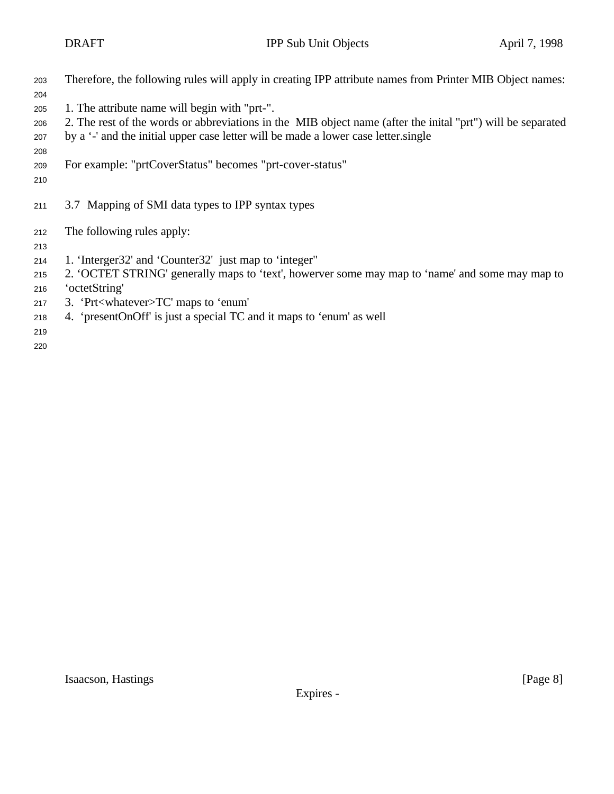| 203 | Therefore, the following rules will apply in creating IPP attribute names from Printer MIB Object names: |
|-----|----------------------------------------------------------------------------------------------------------|
| 204 |                                                                                                          |

- 1. The attribute name will begin with "prt-".
- 2. The rest of the words or abbreviations in the MIB object name (after the inital "prt") will be separated
- by a '-' and the initial upper case letter will be made a lower case letter.single
- 
- For example: "prtCoverStatus" becomes "prt-cover-status"
- 
- 3.7 Mapping of SMI data types to IPP syntax types
- The following rules apply:
- 
- 1. 'Interger32' and 'Counter32' just map to 'integer"
- 2. 'OCTET STRING' generally maps to 'text', howerver some may map to 'name' and some may map to
- 'octetString'
- 3. 'Prt<whatever>TC' maps to 'enum'
- 4. 'presentOnOff' is just a special TC and it maps to 'enum' as well
-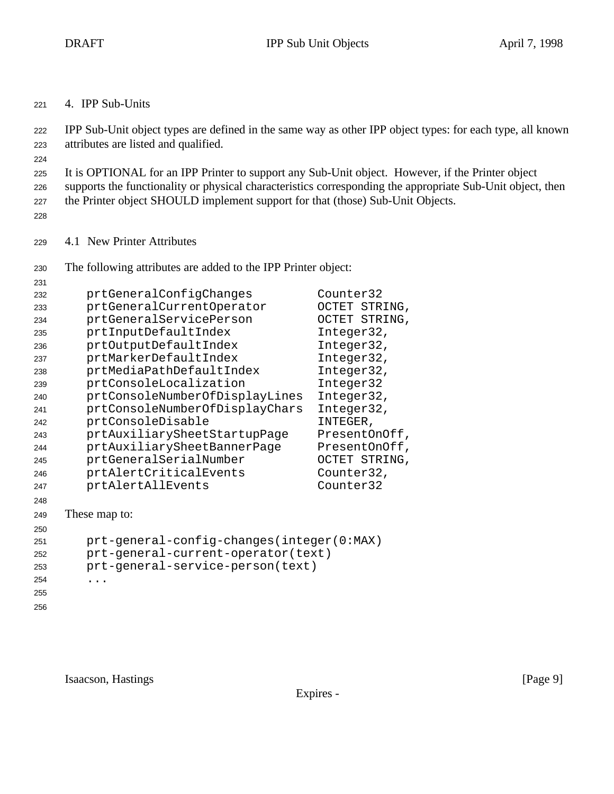4. IPP Sub-Units

 IPP Sub-Unit object types are defined in the same way as other IPP object types: for each type, all known attributes are listed and qualified.

 It is OPTIONAL for an IPP Printer to support any Sub-Unit object. However, if the Printer object supports the functionality or physical characteristics corresponding the appropriate Sub-Unit object, then

the Printer object SHOULD implement support for that (those) Sub-Unit Objects.

4.1 New Printer Attributes

The following attributes are added to the IPP Printer object:

| 231 |                                           |               |
|-----|-------------------------------------------|---------------|
| 232 | prtGeneralConfigChanges                   | Counter32     |
| 233 | prtGeneralCurrentOperator                 | OCTET STRING, |
| 234 | prtGeneralServicePerson                   | OCTET STRING, |
| 235 | prtInputDefaultIndex                      | Integer32,    |
| 236 | prtOutputDefaultIndex                     | Integer32,    |
| 237 | prtMarkerDefaultIndex                     | Integer32,    |
| 238 | prtMediaPathDefaultIndex                  | Integer32,    |
| 239 | prtConsoleLocalization                    | Integer32     |
| 240 | prtConsoleNumberOfDisplayLines            | Integer32,    |
| 241 | prtConsoleNumberOfDisplayChars            | Integer32,    |
| 242 | prtConsoleDisable                         | INTEGER,      |
| 243 | prtAuxiliarySheetStartupPage              | PresentOnOff, |
| 244 | prtAuxiliarySheetBannerPage               | PresentOnOff, |
| 245 | prtGeneralSerialNumber                    | OCTET STRING, |
| 246 | prtAlertCriticalEvents                    | Counter32,    |
| 247 | prtAlertAllEvents                         | Counter32     |
| 248 |                                           |               |
| 249 | These map to:                             |               |
| 250 |                                           |               |
| 251 | prt-general-config-changes(integer(0:MAX) |               |
| 252 | prt-general-current-operator(text)        |               |
| 253 | prt-general-service-person(text)          |               |
| 254 |                                           |               |
| 255 |                                           |               |
| 256 |                                           |               |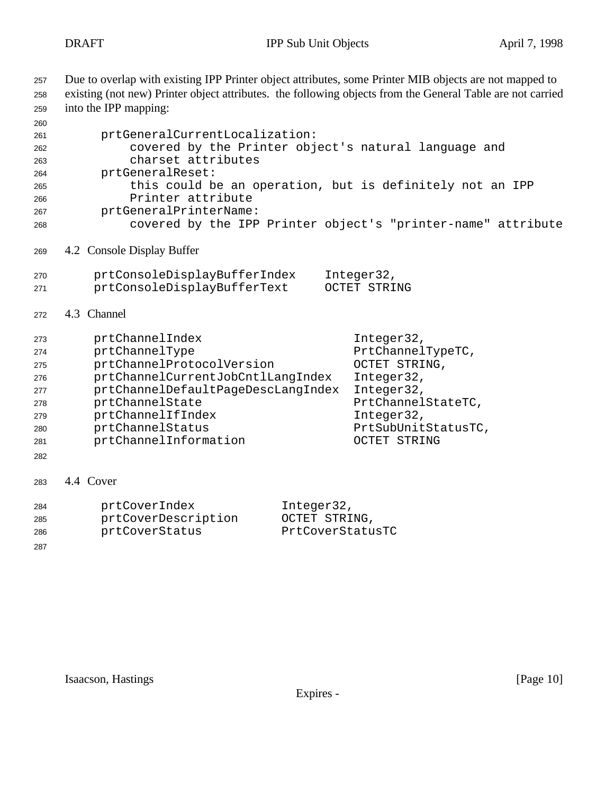Due to overlap with existing IPP Printer object attributes, some Printer MIB objects are not mapped to existing (not new) Printer object attributes. the following objects from the General Table are not carried into the IPP mapping: prtGeneralCurrentLocalization: covered by the Printer object's natural language and charset attributes prtGeneralReset: this could be an operation, but is definitely not an IPP Printer attribute prtGeneralPrinterName: covered by the IPP Printer object's "printer-name" attribute 4.2 Console Display Buffer prtConsoleDisplayBufferIndex Integer32, prtConsoleDisplayBufferText OCTET STRING 4.3 Channel prtChannelIndex Integer32, prtChannelType PrtChannelTypeTC, prtChannelProtocolVersion OCTET STRING, prtChannelCurrentJobCntlLangIndex Integer32, prtChannelDefaultPageDescLangIndex Integer32, 278 prtChannelState PrtChannelStateTC, prtChannelIfIndex Integer32, prtChannelStatus PrtSubUnitStatusTC, prtChannelInformation OCTET STRING 4.4 Cover prtCoverIndex Integer32, prtCoverDescription OCTET STRING, prtCoverStatus PrtCoverStatusTC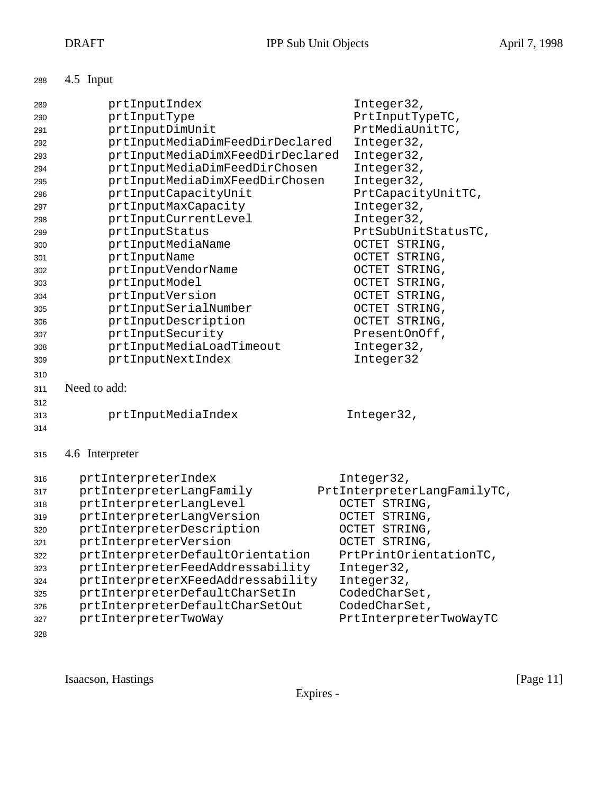| 288 |  | 4.5 Input |
|-----|--|-----------|
|-----|--|-----------|

| 289<br>290<br>291<br>292<br>293<br>294<br>295<br>296<br>297<br>298<br>299<br>300<br>301<br>302<br>303<br>304<br>305<br>306<br>307<br>308<br>309<br>310 | prtInputIndex<br>prtInputType<br>prtInputDimUnit<br>prtInputMediaDimFeedDirDeclared<br>prtInputMediaDimXFeedDirDeclared<br>prtInputMediaDimFeedDirChosen<br>prtInputMediaDimXFeedDirChosen<br>prtInputCapacityUnit<br>prtInputMaxCapacity<br>prtInputCurrentLevel<br>prtInputStatus<br>prtInputMediaName<br>prtInputName<br>prtInputVendorName<br>prtInputModel<br>prtInputVersion<br>prtInputSerialNumber<br>prtInputDescription<br>prtInputSecurity<br>prtInputMediaLoadTimeout<br>prtInputNextIndex | Integer32,<br>PrtInputTypeTC,<br>PrtMediaUnitTC,<br>Integer32,<br>Integer32,<br>Integer32,<br>Integer32,<br>PrtCapacityUnitTC,<br>Integer32,<br>Integer32,<br>PrtSubUnitStatusTC,<br>OCTET STRING,<br>OCTET STRING,<br>OCTET STRING,<br>OCTET STRING,<br>OCTET STRING,<br>OCTET STRING,<br>OCTET STRING,<br>PresentOnOff,<br>Integer32,<br>Integer32 |
|--------------------------------------------------------------------------------------------------------------------------------------------------------|--------------------------------------------------------------------------------------------------------------------------------------------------------------------------------------------------------------------------------------------------------------------------------------------------------------------------------------------------------------------------------------------------------------------------------------------------------------------------------------------------------|------------------------------------------------------------------------------------------------------------------------------------------------------------------------------------------------------------------------------------------------------------------------------------------------------------------------------------------------------|
| 311                                                                                                                                                    | Need to add:                                                                                                                                                                                                                                                                                                                                                                                                                                                                                           |                                                                                                                                                                                                                                                                                                                                                      |
| 312<br>313                                                                                                                                             | prtInputMediaIndex                                                                                                                                                                                                                                                                                                                                                                                                                                                                                     | Integer32,                                                                                                                                                                                                                                                                                                                                           |
| 314                                                                                                                                                    |                                                                                                                                                                                                                                                                                                                                                                                                                                                                                                        |                                                                                                                                                                                                                                                                                                                                                      |
| 315                                                                                                                                                    | 4.6 Interpreter                                                                                                                                                                                                                                                                                                                                                                                                                                                                                        |                                                                                                                                                                                                                                                                                                                                                      |
| 316                                                                                                                                                    | prtInterpreterIndex                                                                                                                                                                                                                                                                                                                                                                                                                                                                                    | Integer32,                                                                                                                                                                                                                                                                                                                                           |
| 317                                                                                                                                                    | prtInterpreterLangFamily                                                                                                                                                                                                                                                                                                                                                                                                                                                                               | PrtInterpreterLangFamilyTC,                                                                                                                                                                                                                                                                                                                          |
| 318                                                                                                                                                    | prtInterpreterLangLevel                                                                                                                                                                                                                                                                                                                                                                                                                                                                                | OCTET STRING,                                                                                                                                                                                                                                                                                                                                        |
| 319                                                                                                                                                    | prtInterpreterLangVersion                                                                                                                                                                                                                                                                                                                                                                                                                                                                              | OCTET STRING,                                                                                                                                                                                                                                                                                                                                        |
| 320                                                                                                                                                    | prtInterpreterDescription                                                                                                                                                                                                                                                                                                                                                                                                                                                                              | OCTET STRING,                                                                                                                                                                                                                                                                                                                                        |
| 321                                                                                                                                                    | prtInterpreterVersion                                                                                                                                                                                                                                                                                                                                                                                                                                                                                  | OCTET STRING,                                                                                                                                                                                                                                                                                                                                        |
| 322                                                                                                                                                    | prtInterpreterDefaultOrientation                                                                                                                                                                                                                                                                                                                                                                                                                                                                       | PrtPrintOrientationTC,                                                                                                                                                                                                                                                                                                                               |
| 323                                                                                                                                                    | prtInterpreterFeedAddressability<br>prtInterpreterXFeedAddressability                                                                                                                                                                                                                                                                                                                                                                                                                                  | Integer32,<br>Integer32,                                                                                                                                                                                                                                                                                                                             |
| 324<br>325                                                                                                                                             | prtInterpreterDefaultCharSetIn                                                                                                                                                                                                                                                                                                                                                                                                                                                                         | CodedCharSet,                                                                                                                                                                                                                                                                                                                                        |
| 326                                                                                                                                                    | prtInterpreterDefaultCharSetOut                                                                                                                                                                                                                                                                                                                                                                                                                                                                        | CodedCharSet,                                                                                                                                                                                                                                                                                                                                        |
| 327                                                                                                                                                    | prtInterpreterTwoWay                                                                                                                                                                                                                                                                                                                                                                                                                                                                                   | PrtInterpreterTwoWayTC                                                                                                                                                                                                                                                                                                                               |
|                                                                                                                                                        |                                                                                                                                                                                                                                                                                                                                                                                                                                                                                                        |                                                                                                                                                                                                                                                                                                                                                      |

Isaacson, Hastings [Page 11]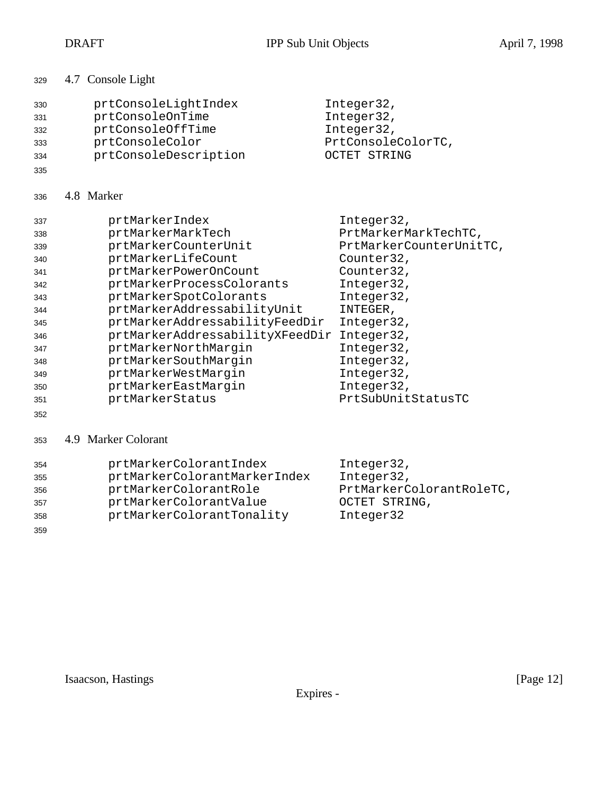| 329 |  | 4.7 Console Light |
|-----|--|-------------------|
|-----|--|-------------------|

| 330 | prtConsoleLightIndex  | Integer32,         |
|-----|-----------------------|--------------------|
| 331 | prtConsoleOnTime      | Integer32,         |
| 332 | prtConsoleOffTime     | Integer32,         |
| 333 | prtConsoleColor       | PrtConsoleColorTC, |
| 334 | prtConsoleDescription | OCTET STRING       |

# 4.8 Marker

| 337 | prtMarkerIndex                  | Integer32,              |
|-----|---------------------------------|-------------------------|
| 338 | prtMarkerMarkTech               | PrtMarkerMarkTechTC,    |
| 339 | prtMarkerCounterUnit            | PrtMarkerCounterUnitTC, |
| 340 | prtMarkerLifeCount              | Counter32,              |
| 341 | prtMarkerPowerOnCount           | Counter32,              |
| 342 | prtMarkerProcessColorants       | Integer32,              |
| 343 | prtMarkerSpotColorants          | Integer32,              |
| 344 | prtMarkerAddressabilityUnit     | INTEGER,                |
| 345 | prtMarkerAddressabilityFeedDir  | Integer32,              |
| 346 | prtMarkerAddressabilityXFeedDir | Integer32,              |
| 347 | prtMarkerNorthMargin            | Integer32,              |
| 348 | prtMarkerSouthMargin            | Integer32,              |
| 349 | prtMarkerWestMarqin             | Integer32,              |
| 350 | prtMarkerEastMargin             | Integer32,              |
| 351 | prtMarkerStatus                 | PrtSubUnitStatusTC      |
| 352 |                                 |                         |

### 4.9 Marker Colorant

| 354 | prtMarkerColorantIndex       | Integer32,               |
|-----|------------------------------|--------------------------|
| 355 | prtMarkerColorantMarkerIndex | Integer32,               |
| 356 | prtMarkerColorantRole        | PrtMarkerColorantRoleTC, |
| 357 | prtMarkerColorantValue       | OCTET STRING,            |
| 358 | prtMarkerColorantTonality    | Integer32                |
| 359 |                              |                          |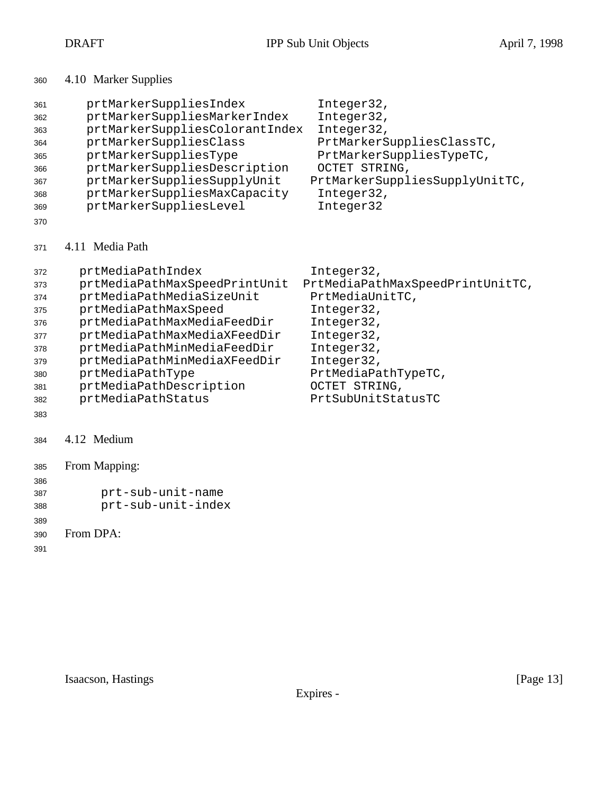| 360                                                                              | 4.10 Marker Supplies                                                                                                                                                                                                                                                                                                                                                                                                                                                                                                |
|----------------------------------------------------------------------------------|---------------------------------------------------------------------------------------------------------------------------------------------------------------------------------------------------------------------------------------------------------------------------------------------------------------------------------------------------------------------------------------------------------------------------------------------------------------------------------------------------------------------|
| 361<br>362<br>363<br>364<br>365<br>366<br>367<br>368<br>369<br>370               | prtMarkerSuppliesIndex<br>Integer32,<br>prtMarkerSuppliesMarkerIndex<br>Integer32,<br>prtMarkerSuppliesColorantIndex<br>Integer32,<br>prtMarkerSuppliesClass<br>PrtMarkerSuppliesClassTC,<br>prtMarkerSuppliesType<br>PrtMarkerSuppliesTypeTC,<br>OCTET STRING,<br>prtMarkerSuppliesDescription<br>prtMarkerSuppliesSupplyUnit<br>PrtMarkerSuppliesSupplyUnitTC,<br>prtMarkerSuppliesMaxCapacity<br>Integer32,<br>prtMarkerSuppliesLevel<br>Integer32                                                               |
| 371                                                                              | 4.11 Media Path                                                                                                                                                                                                                                                                                                                                                                                                                                                                                                     |
| 372<br>373<br>374<br>375<br>376<br>377<br>378<br>379<br>380<br>381<br>382<br>383 | prtMediaPathIndex<br>Integer32,<br>PrtMediaPathMaxSpeedPrintUnitTC,<br>prtMediaPathMaxSpeedPrintUnit<br>PrtMediaUnitTC,<br>prtMediaPathMediaSizeUnit<br>prtMediaPathMaxSpeed<br>Integer32,<br>prtMediaPathMaxMediaFeedDir<br>Integer32,<br>prtMediaPathMaxMediaXFeedDir<br>Integer32,<br>prtMediaPathMinMediaFeedDir<br>Integer32,<br>prtMediaPathMinMediaXFeedDir<br>Integer32,<br>prtMediaPathType<br>PrtMediaPathTypeTC,<br>prtMediaPathDescription<br>OCTET STRING,<br>prtMediaPathStatus<br>PrtSubUnitStatusTC |
| 384                                                                              | 4.12 Medium                                                                                                                                                                                                                                                                                                                                                                                                                                                                                                         |
| 385                                                                              | From Mapping:                                                                                                                                                                                                                                                                                                                                                                                                                                                                                                       |
| 386                                                                              |                                                                                                                                                                                                                                                                                                                                                                                                                                                                                                                     |
| 387<br>388                                                                       | prt-sub-unit-name<br>prt-sub-unit-index                                                                                                                                                                                                                                                                                                                                                                                                                                                                             |
|                                                                                  |                                                                                                                                                                                                                                                                                                                                                                                                                                                                                                                     |
| 389                                                                              | From DPA:                                                                                                                                                                                                                                                                                                                                                                                                                                                                                                           |
| 390                                                                              |                                                                                                                                                                                                                                                                                                                                                                                                                                                                                                                     |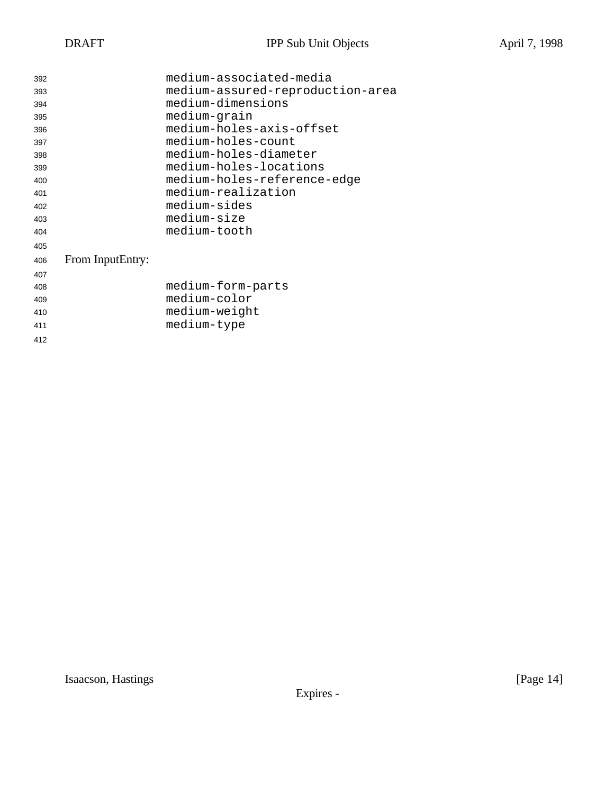| 392 |                  | medium-associated-media          |
|-----|------------------|----------------------------------|
| 393 |                  | medium-assured-reproduction-area |
| 394 |                  | medium-dimensions                |
| 395 |                  | medium-grain                     |
| 396 |                  | medium-holes-axis-offset         |
| 397 |                  | medium-holes-count               |
| 398 |                  | medium-holes-diameter            |
| 399 |                  | medium-holes-locations           |
| 400 |                  | medium-holes-reference-edge      |
| 401 |                  | medium-realization               |
| 402 |                  | medium-sides                     |
| 403 |                  | medium-size                      |
| 404 |                  | medium-tooth                     |
| 405 |                  |                                  |
| 406 | From InputEntry: |                                  |
| 407 |                  |                                  |
| 408 |                  | medium-form-parts                |
| 409 |                  | medium-color                     |
| 410 |                  | medium-weight                    |
| 411 |                  | medium-type                      |
| 412 |                  |                                  |

Isaacson, Hastings [Page 14]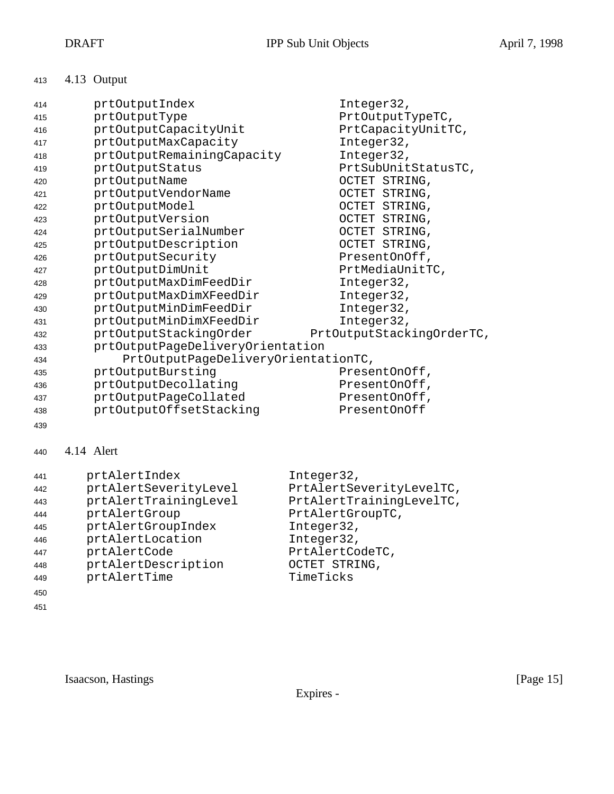# 4.13 Output

| 414 | prtOutputIndex                      | Integer32,                |
|-----|-------------------------------------|---------------------------|
| 415 | prtOutputType                       | PrtOutputTypeTC,          |
| 416 | prtOutputCapacityUnit               | PrtCapacityUnitTC,        |
| 417 | prtOutputMaxCapacity                | Integer32,                |
| 418 | prtOutputRemainingCapacity          | Integer32,                |
| 419 | prtOutputStatus                     | PrtSubUnitStatusTC,       |
| 420 | prtOutputName                       | OCTET STRING,             |
| 421 | prtOutputVendorName                 | OCTET STRING,             |
| 422 | prtOutputModel                      | OCTET STRING,             |
| 423 | prtOutputVersion                    | OCTET STRING,             |
| 424 | prtOutputSerialNumber               | OCTET STRING,             |
| 425 | prtOutputDescription                | OCTET STRING,             |
| 426 | prtOutputSecurity                   | PresentOnOff,             |
| 427 | prtOutputDimUnit                    | PrtMediaUnitTC,           |
| 428 | prtOutputMaxDimFeedDir              | Integer32,                |
| 429 | prtOutputMaxDimXFeedDir             | Integer32,                |
| 430 | prtOutputMinDimFeedDir              | Integer32,                |
| 431 | prtOutputMinDimXFeedDir             | Integer32,                |
| 432 | prtOutputStackingOrder              | PrtOutputStackingOrderTC, |
| 433 | prtOutputPageDeliveryOrientation    |                           |
| 434 | PrtOutputPageDeliveryOrientationTC, |                           |
| 435 | prtOutputBursting                   | PresentOnOff,             |
| 436 | prtOutputDecollating                | PresentOnOff,             |
| 437 | prtOutputPageCollated               | PresentOnOff,             |
| 438 | prtOutputOffsetStacking             | PresentOnOff              |

# 4.14 Alert

| 441 | prtAlertIndex         | Integer32,               |
|-----|-----------------------|--------------------------|
| 442 | prtAlertSeverityLevel | PrtAlertSeverityLevelTC, |
| 443 | prtAlertTrainingLevel | PrtAlertTrainingLevelTC, |
| 444 | prtAlertGroup         | PrtAlertGroupTC,         |
| 445 | prtAlertGroupIndex    | Integer32,               |
| 446 | prtAlertLocation      | Integer32,               |
| 447 | prtAlertCode          | PrtAlertCodeTC,          |
| 448 | prtAlertDescription   | OCTET STRING,            |
| 449 | prtAlertTime          | TimeTicks                |
| 450 |                       |                          |
| 451 |                       |                          |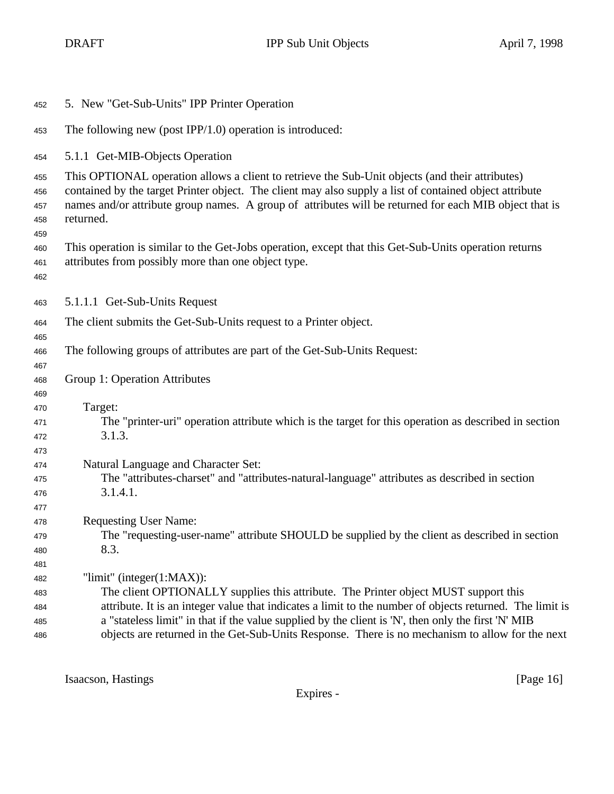| 452                             | 5. New "Get-Sub-Units" IPP Printer Operation                                                                                                                                                                                                                                                                                                                                                                                               |
|---------------------------------|--------------------------------------------------------------------------------------------------------------------------------------------------------------------------------------------------------------------------------------------------------------------------------------------------------------------------------------------------------------------------------------------------------------------------------------------|
| 453                             | The following new (post IPP/1.0) operation is introduced:                                                                                                                                                                                                                                                                                                                                                                                  |
| 454                             | 5.1.1 Get-MIB-Objects Operation                                                                                                                                                                                                                                                                                                                                                                                                            |
| 455<br>456<br>457<br>458<br>459 | This OPTIONAL operation allows a client to retrieve the Sub-Unit objects (and their attributes)<br>contained by the target Printer object. The client may also supply a list of contained object attribute<br>names and/or attribute group names. A group of attributes will be returned for each MIB object that is<br>returned.                                                                                                          |
| 460<br>461<br>462               | This operation is similar to the Get-Jobs operation, except that this Get-Sub-Units operation returns<br>attributes from possibly more than one object type.                                                                                                                                                                                                                                                                               |
| 463                             | 5.1.1.1 Get-Sub-Units Request                                                                                                                                                                                                                                                                                                                                                                                                              |
| 464<br>465                      | The client submits the Get-Sub-Units request to a Printer object.                                                                                                                                                                                                                                                                                                                                                                          |
| 466<br>467                      | The following groups of attributes are part of the Get-Sub-Units Request:                                                                                                                                                                                                                                                                                                                                                                  |
| 468<br>469                      | Group 1: Operation Attributes                                                                                                                                                                                                                                                                                                                                                                                                              |
| 470<br>471<br>472<br>473        | Target:<br>The "printer-uri" operation attribute which is the target for this operation as described in section<br>3.1.3.                                                                                                                                                                                                                                                                                                                  |
| 474<br>475<br>476<br>477        | Natural Language and Character Set:<br>The "attributes-charset" and "attributes-natural-language" attributes as described in section<br>3.1.4.1.                                                                                                                                                                                                                                                                                           |
| 478<br>479<br>480<br>481        | <b>Requesting User Name:</b><br>The "requesting-user-name" attribute SHOULD be supplied by the client as described in section<br>8.3.                                                                                                                                                                                                                                                                                                      |
| 482<br>483<br>484<br>485<br>486 | "limit" (integer $(1:MAX)$ ):<br>The client OPTIONALLY supplies this attribute. The Printer object MUST support this<br>attribute. It is an integer value that indicates a limit to the number of objects returned. The limit is<br>a "stateless limit" in that if the value supplied by the client is 'N', then only the first 'N' MIB<br>objects are returned in the Get-Sub-Units Response. There is no mechanism to allow for the next |

Isaacson, Hastings [Page 16]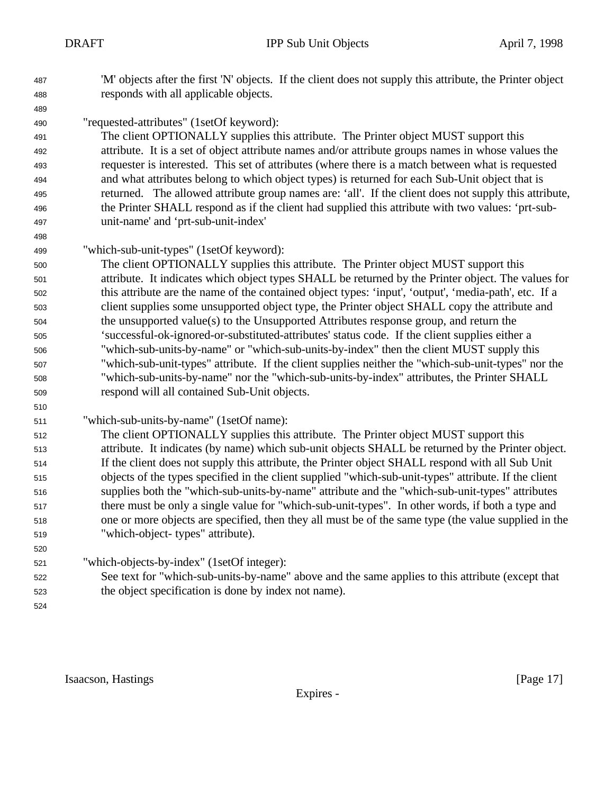'M' objects after the first 'N' objects. If the client does not supply this attribute, the Printer object responds with all applicable objects.

"requested-attributes" (1setOf keyword):

 The client OPTIONALLY supplies this attribute. The Printer object MUST support this attribute. It is a set of object attribute names and/or attribute groups names in whose values the requester is interested. This set of attributes (where there is a match between what is requested and what attributes belong to which object types) is returned for each Sub-Unit object that is returned. The allowed attribute group names are: 'all'. If the client does not supply this attribute, the Printer SHALL respond as if the client had supplied this attribute with two values: 'prt-sub-unit-name' and 'prt-sub-unit-index'

"which-sub-unit-types" (1setOf keyword):

 The client OPTIONALLY supplies this attribute. The Printer object MUST support this attribute. It indicates which object types SHALL be returned by the Printer object. The values for this attribute are the name of the contained object types: 'input', 'output', 'media-path', etc. If a client supplies some unsupported object type, the Printer object SHALL copy the attribute and the unsupported value(s) to the Unsupported Attributes response group, and return the 'successful-ok-ignored-or-substituted-attributes' status code. If the client supplies either a "which-sub-units-by-name" or "which-sub-units-by-index" then the client MUST supply this "which-sub-unit-types" attribute. If the client supplies neither the "which-sub-unit-types" nor the "which-sub-units-by-name" nor the "which-sub-units-by-index" attributes, the Printer SHALL respond will all contained Sub-Unit objects.

"which-sub-units-by-name" (1setOf name):

 The client OPTIONALLY supplies this attribute. The Printer object MUST support this attribute. It indicates (by name) which sub-unit objects SHALL be returned by the Printer object. If the client does not supply this attribute, the Printer object SHALL respond with all Sub Unit objects of the types specified in the client supplied "which-sub-unit-types" attribute. If the client supplies both the "which-sub-units-by-name" attribute and the "which-sub-unit-types" attributes there must be only a single value for "which-sub-unit-types". In other words, if both a type and one or more objects are specified, then they all must be of the same type (the value supplied in the "which-object- types" attribute).

- "which-objects-by-index" (1setOf integer):
- See text for "which-sub-units-by-name" above and the same applies to this attribute (except that the object specification is done by index not name).
- 

Isaacson, Hastings [Page 17]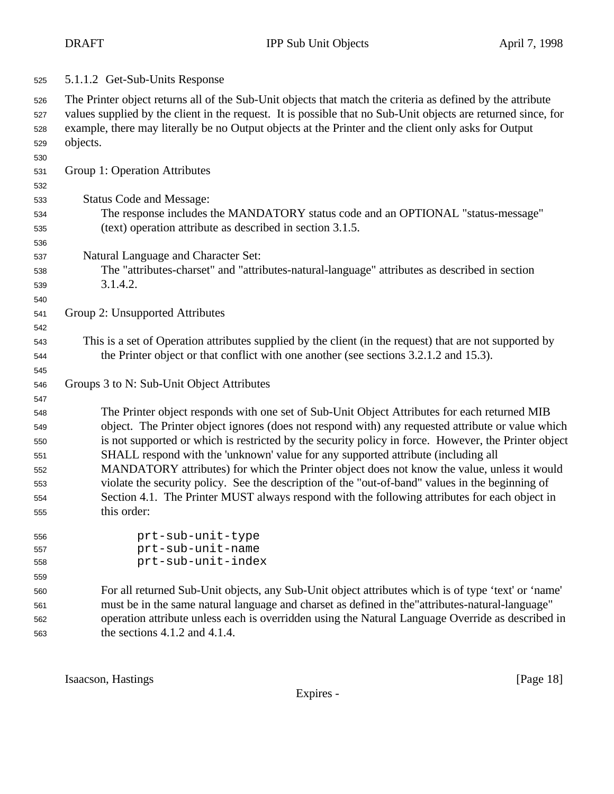| 525 |  | 5.1.1.2 Get-Sub-Units Response |
|-----|--|--------------------------------|
|-----|--|--------------------------------|

 The Printer object returns all of the Sub-Unit objects that match the criteria as defined by the attribute values supplied by the client in the request. It is possible that no Sub-Unit objects are returned since, for example, there may literally be no Output objects at the Printer and the client only asks for Output objects.

Group 1: Operation Attributes

 Status Code and Message: The response includes the MANDATORY status code and an OPTIONAL "status-message" (text) operation attribute as described in section 3.1.5. Natural Language and Character Set: The "attributes-charset" and "attributes-natural-language" attributes as described in section 3.1.4.2. Group 2: Unsupported Attributes This is a set of Operation attributes supplied by the client (in the request) that are not supported by the Printer object or that conflict with one another (see sections 3.2.1.2 and 15.3). Groups 3 to N: Sub-Unit Object Attributes The Printer object responds with one set of Sub-Unit Object Attributes for each returned MIB object. The Printer object ignores (does not respond with) any requested attribute or value which is not supported or which is restricted by the security policy in force. However, the Printer object SHALL respond with the 'unknown' value for any supported attribute (including all MANDATORY attributes) for which the Printer object does not know the value, unless it would violate the security policy. See the description of the "out-of-band" values in the beginning of Section 4.1. The Printer MUST always respond with the following attributes for each object in this order: prt-sub-unit-type prt-sub-unit-name prt-sub-unit-index For all returned Sub-Unit objects, any Sub-Unit object attributes which is of type 'text' or 'name' must be in the same natural language and charset as defined in the"attributes-natural-language"

Isaacson, Hastings [Page 18] [Page 18]

the sections 4.1.2 and 4.1.4.

Expires -

operation attribute unless each is overridden using the Natural Language Override as described in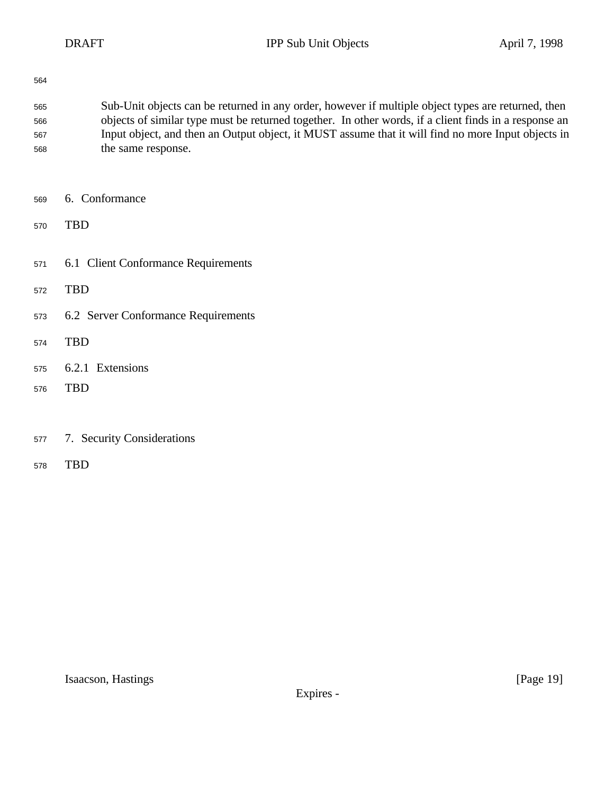- Sub-Unit objects can be returned in any order, however if multiple object types are returned, then objects of similar type must be returned together. In other words, if a client finds in a response an Input object, and then an Output object, it MUST assume that it will find no more Input objects in the same response.
- 6. Conformance
- TBD
- 6.1 Client Conformance Requirements
- TBD
- 6.2 Server Conformance Requirements
- TBD
- 6.2.1 Extensions
- TBD
- 7. Security Considerations
- TBD